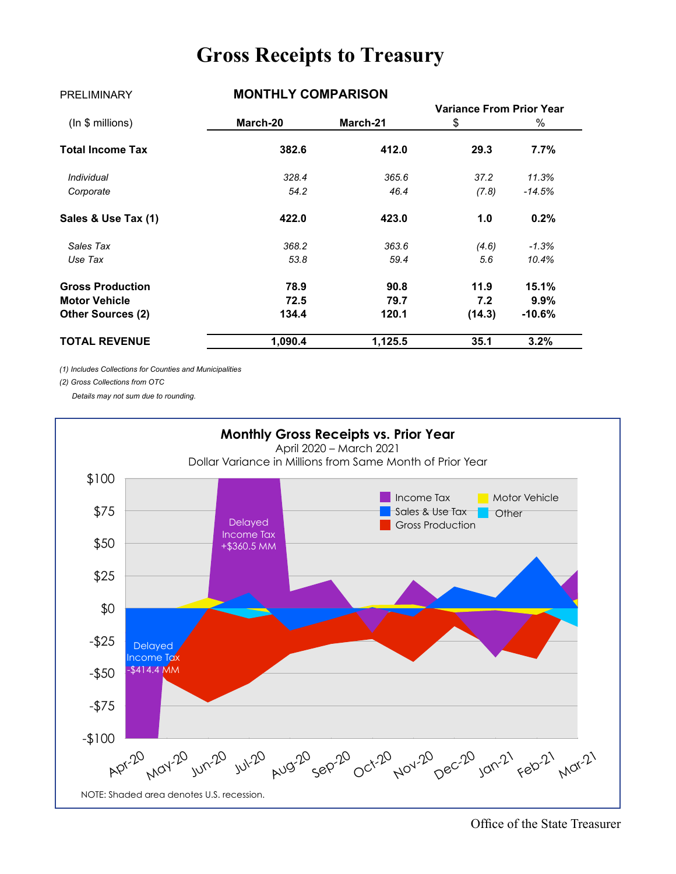## **Gross Receipts to Treasury**

| <b>PRELIMINARY</b>       | <b>MUNIFLI LUMPARIJUN</b> |          |                                 |          |
|--------------------------|---------------------------|----------|---------------------------------|----------|
|                          |                           |          | <b>Variance From Prior Year</b> |          |
| $(ln $$ millions)        | March-20                  | March-21 | \$                              | $\%$     |
| <b>Total Income Tax</b>  | 382.6                     | 412.0    | 29.3                            | $7.7\%$  |
| Individual               | 328.4                     | 365.6    | 37.2                            | 11.3%    |
| Corporate                | 54.2                      | 46.4     | (7.8)                           | $-14.5%$ |
| Sales & Use Tax (1)      | 422.0                     | 423.0    | 1.0                             | 0.2%     |
| Sales Tax                | 368.2                     | 363.6    | (4.6)                           | $-1.3%$  |
| Use Tax                  | 53.8                      | 59.4     | 5.6                             | 10.4%    |
| <b>Gross Production</b>  | 78.9                      | 90.8     | 11.9                            | 15.1%    |
| <b>Motor Vehicle</b>     | 72.5                      | 79.7     | 7.2                             | $9.9\%$  |
| <b>Other Sources (2)</b> | 134.4                     | 120.1    | (14.3)                          | $-10.6%$ |
| <b>TOTAL REVENUE</b>     | 1,090.4                   | 1,125.5  | 35.1                            | 3.2%     |

PRELIMINARY **MONTHLY COMPARISON**

*(1) Includes Collections for Counties and Municipalities*

*(2) Gross Collections from OTC*

 *Details may not sum due to rounding.*

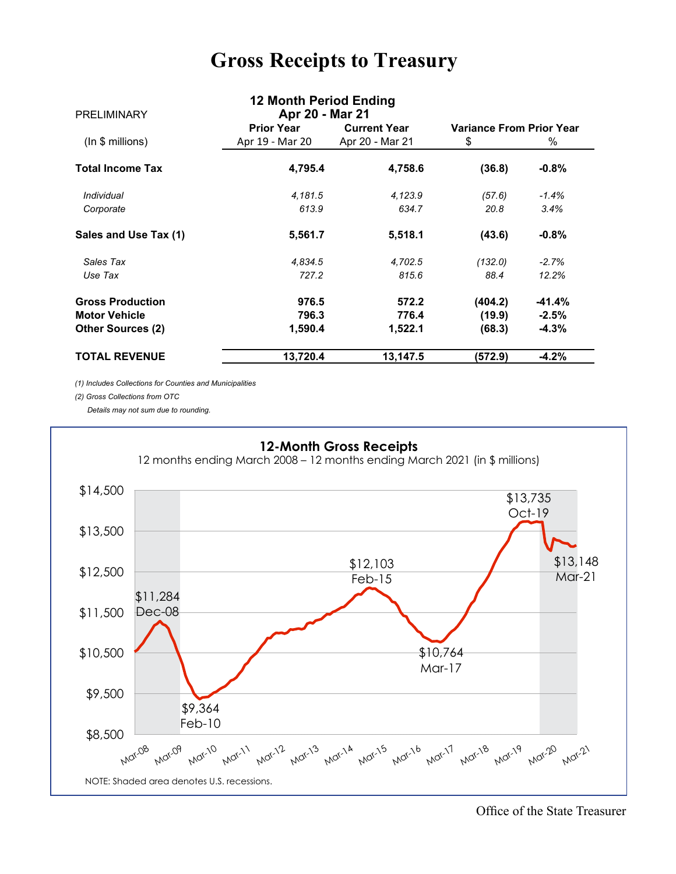## **Gross Receipts to Treasury**

| <b>PRELIMINARY</b>       | 12 Month Period Ending<br>Apr 20 - Mar 21 |                     |                                 |          |
|--------------------------|-------------------------------------------|---------------------|---------------------------------|----------|
|                          | <b>Prior Year</b>                         | <b>Current Year</b> | <b>Variance From Prior Year</b> |          |
| (ln \$ millions)         | Apr 19 - Mar 20                           | Apr 20 - Mar 21     | \$                              | $\%$     |
| <b>Total Income Tax</b>  | 4,795.4                                   | 4,758.6             | (36.8)                          | $-0.8%$  |
| <i><b>Individual</b></i> | 4,181.5                                   | 4,123.9             | (57.6)                          | $-1.4%$  |
| Corporate                | 613.9                                     | 634.7               | 20.8                            | 3.4%     |
| Sales and Use Tax (1)    | 5,561.7                                   | 5,518.1             | (43.6)                          | $-0.8%$  |
| Sales Tax                | 4,834.5                                   | 4,702.5             | (132.0)                         | $-2.7%$  |
| Use Tax                  | 727.2                                     | 815.6               | 88.4                            | 12.2%    |
| <b>Gross Production</b>  | 976.5                                     | 572.2               | (404.2)                         | $-41.4%$ |
| <b>Motor Vehicle</b>     | 796.3                                     | 776.4               | (19.9)                          | $-2.5%$  |
| <b>Other Sources (2)</b> | 1,590.4                                   | 1,522.1             | (68.3)                          | $-4.3%$  |
| <b>TOTAL REVENUE</b>     | 13,720.4                                  | 13,147.5            | (572.9)                         | $-4.2%$  |

*(1) Includes Collections for Counties and Municipalities*

*(2) Gross Collections from OTC*

 *Details may not sum due to rounding.*



Office of the State Treasurer